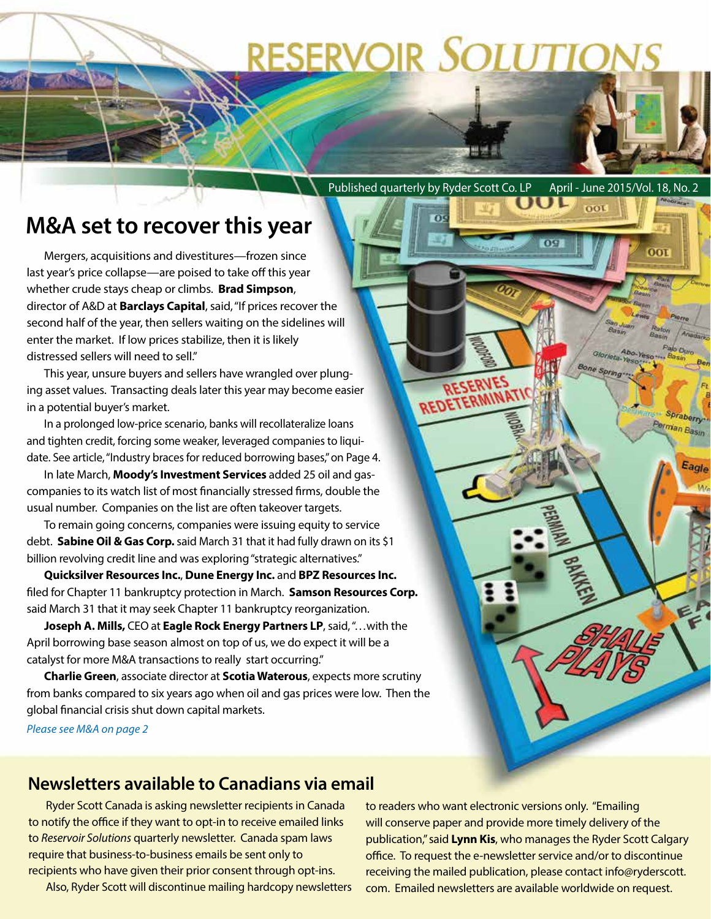# **RESERVOIR SOLUTIONS**

 $\Omega$ 

REDETERMIN

Published quarterly by Ryder Scott Co. LP April - June 2015/Vol. 18, No. 2

D

 $001$ 

Bone Spring

oot

Spraberry Perman Basin

Eagle

## **M&A set to recover this year**

Mergers, acquisitions and divestitures—frozen since last year's price collapse—are poised to take off this year whether crude stays cheap or climbs. **Brad Simpson**, director of A&D at **Barclays Capital**, said, "If prices recover the second half of the year, then sellers waiting on the sidelines will enter the market. If low prices stabilize, then it is likely distressed sellers will need to sell."

This year, unsure buyers and sellers have wrangled over plunging asset values. Transacting deals later this year may become easier in a potential buyer's market.

In a prolonged low-price scenario, banks will recollateralize loans and tighten credit, forcing some weaker, leveraged companies to liquidate. See article, "Industry braces for reduced borrowing bases," on Page 4.

In late March, **Moody's Investment Services** added 25 oil and gascompanies to its watch list of most financially stressed firms, double the usual number. Companies on the list are often takeover targets.

To remain going concerns, companies were issuing equity to service debt. **Sabine Oil & Gas Corp.** said March 31 that it had fully drawn on its \$1 billion revolving credit line and was exploring "strategic alternatives."

**Quicksilver Resources Inc.**, **Dune Energy Inc.** and **BPZ Resources Inc.**  filed for Chapter 11 bankruptcy protection in March. **Samson Resources Corp.**  said March 31 that it may seek Chapter 11 bankruptcy reorganization.

**Joseph A. Mills,** CEO at **Eagle Rock Energy Partners LP**, said, "…with the April borrowing base season almost on top of us, we do expect it will be a catalyst for more M&A transactions to really start occurring."

**Charlie Green**, associate director at **Scotia Waterous**, expects more scrutiny from banks compared to six years ago when oil and gas prices were low. Then the global financial crisis shut down capital markets.

*Please see M&A on page 2*

### **Newsletters available to Canadians via email**

Ryder Scott Canada is asking newsletter recipients in Canada to notify the office if they want to opt-in to receive emailed links to *Reservoir Solutions* quarterly newsletter. Canada spam laws require that business-to-business emails be sent only to recipients who have given their prior consent through opt-ins.

Also, Ryder Scott will discontinue mailing hardcopy newsletters

to readers who want electronic versions only. "Emailing will conserve paper and provide more timely delivery of the publication," said **Lynn Kis**, who manages the Ryder Scott Calgary office. To request the e-newsletter service and/or to discontinue receiving the mailed publication, please contact info@ryderscott. com. Emailed newsletters are available worldwide on request.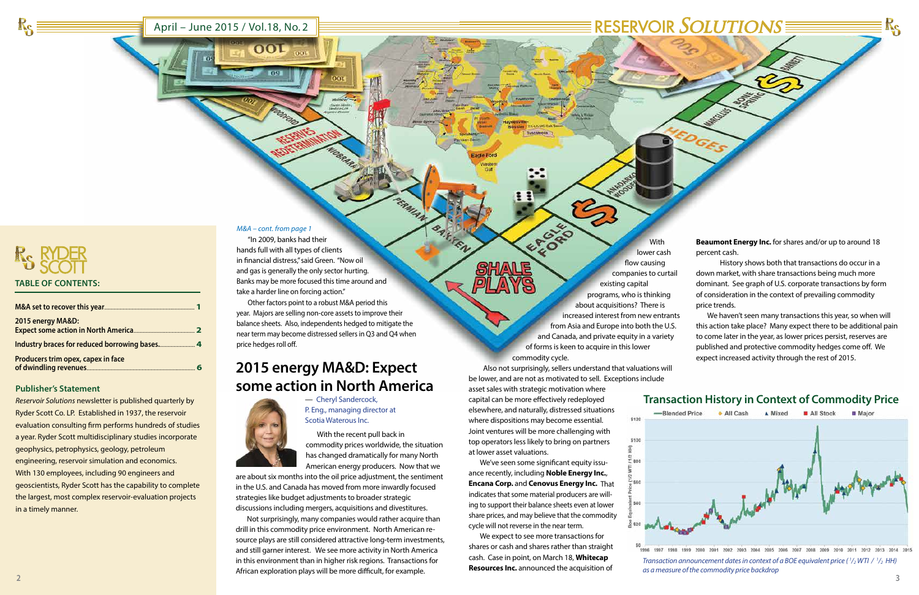

**2 3**

| <b>SOLUTIONS</b> |  |
|------------------|--|
|                  |  |

March 1965

### April – June 2015 / Vol.18, No. 2

### **Publisher's Statement**

*Reservoir Solutions* newsletter is published quarterly by Ryder Scott Co. LP. Established in 1937, the reservoir evaluation consulting firm performs hundreds of studies a year. Ryder Scott multidisciplinary studies incorporate geophysics, petrophysics, geology, petroleum engineering, reservoir simulation and economics. With 130 employees, including 90 engineers and geoscientists, Ryder Scott has the capability to complete the largest, most complex reservoir-evaluation projects in a timely manner.

# **Transaction History in Context of Commodity Price** -Blended Price + All Cash A Mixed All Stock **B** Major why interested the first property and

2008 2001 2002 2003 2004 2005 2006 2007 2008 2009 2010 2011 2012 2013 2014 2015



RS

*Transaction announcement dates in context of a BOE equivalent price (* $\frac{1}{2}$ *WTI /*  $\frac{1}{2}$  *HH) as a measure of the commodity price backdrop*

| 2015 energy MA&D:                  |  |
|------------------------------------|--|
|                                    |  |
| Producers trim opex, capex in face |  |

#### *M&A – cont. from page 1*

 $\overline{\text{OOL}}$ 

## **2015 energy MA&D: Expect some action in North America**



EFORD With lower cash flow causing companies to curtail existing capital programs, who is thinking about acquisitions? There is increased interest from new entrants from Asia and Europe into both the U.S. and Canada, and private equity in a variety of forms is keen to acquire in this lower commodity cycle.

— Cheryl Sandercock, P. Eng., managing director at Scotia Waterous Inc.

With the recent pull back in commodity prices worldwide, the situation has changed dramatically for many North American energy producers. Now that we

are about six months into the oil price adjustment, the sentiment in the U.S. and Canada has moved from more inwardly focused strategies like budget adjustments to broader strategic discussions including mergers, acquisitions and divestitures.

Not surprisingly, many companies would rather acquire than drill in this commodity price environment. North American resource plays are still considered attractive long-term investments, and still garner interest. We see more activity in North America in this environment than in higher risk regions. Transactions for African exploration plays will be more difficult, for example.

**BARTEN** 

 Also not surprisingly, sellers understand that valuations will be lower, and are not as motivated to sell. Exceptions include

asset sales with strategic motivation where capital can be more effectively redeployed elsewhere, and naturally, distressed situations where dispositions may become essential. Joint ventures will be more challenging with top operators less likely to bring on partners at lower asset valuations.

We've seen some significant equity issuance recently, including **Noble Energy Inc.**, **Encana Corp.** and **Cenovus Energy Inc.** That indicates that some material producers are willing to support their balance sheets even at lower share prices, and may believe that the commodity cycle will not reverse in the near term.

We expect to see more transactions for shares or cash and shares rather than straight cash. Case in point, on March 18, **Whitecap Resources Inc.** announced the acquisition of

**Beaumont Energy Inc.** for shares and/or up to around 18 percent cash.

 History shows both that transactions do occur in a down market, with share transactions being much more dominant. See graph of U.S. corporate transactions by form of consideration in the context of prevailing commodity price trends.

We haven't seen many transactions this year, so when will this action take place? Many expect there to be additional pain to come later in the year, as lower prices persist, reserves are published and protective commodity hedges come off. We expect increased activity through the rest of 2015.

"In 2009, banks had their hands full with all types of clients in financial distress," said Green. "Now oil and gas is generally the only sector hurting. Banks may be more focused this time around and take a harder line on forcing action."

Other factors point to a robust M&A period this year. Majors are selling non-core assets to improve their balance sheets. Also, independents hedged to mitigate the near term may become distressed sellers in Q3 and Q4 when price hedges roll off.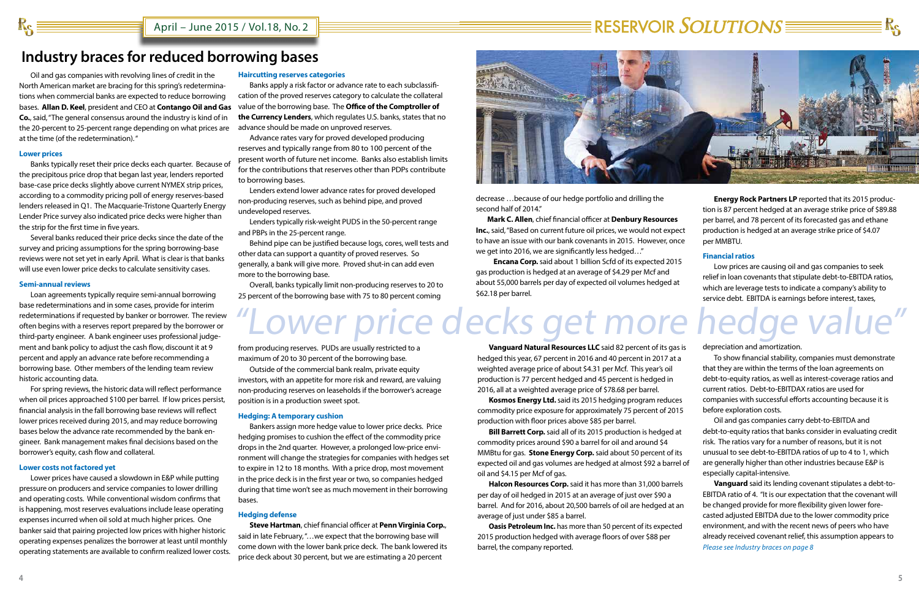**4 5**

April – June 2015 / Vol.18, No. 2

decrease …because of our hedge portfolio and drilling the second half of 2014."

**Mark C. Allen**, chief financial officer at **Denbury Resources Inc.**, said, "Based on current future oil prices, we would not expect to have an issue with our bank covenants in 2015. However, once we get into 2016, we are significantly less hedged…"

 **Encana Corp.** said about 1 billion Scfd of its expected 2015 gas production is hedged at an average of \$4.29 per Mcf and about 55,000 barrels per day of expected oil volumes hedged at \$62.18 per barrel.

# $\equiv$  RESERVOIR  $SOLUTIONS \equiv \equiv$

## **Industry braces for reduced borrowing bases**

Oil and gas companies with revolving lines of credit in the North American market are bracing for this spring's redeterminations when commercial banks are expected to reduce borrowing bases. **Allan D. Keel**, president and CEO at **Contango Oil and Gas Co.**, said, "The general consensus around the industry is kind of in the 20-percent to 25-percent range depending on what prices are at the time (of the redetermination). "

#### **Lower prices**

 $R_{\text{S}}$  :

Banks typically reset their price decks each quarter. Because of the precipitous price drop that began last year, lenders reported base-case price decks slightly above current NYMEX strip prices, according to a commodity pricing poll of energy reserves-based lenders released in Q1. The Macquarie-Tristone Quarterly Energy Lender Price survey also indicated price decks were higher than the strip for the first time in five years.

Several banks reduced their price decks since the date of the survey and pricing assumptions for the spring borrowing-base reviews were not set yet in early April. What is clear is that banks will use even lower price decks to calculate sensitivity cases.

#### **Semi-annual reviews**

Loan agreements typically require semi-annual borrowing base redeterminations and in some cases, provide for interim redeterminations if requested by banker or borrower. The review often begins with a reserves report prepared by the borrower or third-party engineer. A bank engineer uses professional judgement and bank policy to adjust the cash flow, discount it at 9 percent and apply an advance rate before recommending a borrowing base. Other members of the lending team review historic accounting data.

For spring reviews, the historic data will reflect performance when oil prices approached \$100 per barrel. If low prices persist, financial analysis in the fall borrowing base reviews will reflect lower prices received during 2015, and may reduce borrowing bases below the advance rate recommended by the bank engineer. Bank management makes final decisions based on the borrower's equity, cash flow and collateral.

#### **Lower costs not factored yet**

Lower prices have caused a slowdown in E&P while putting pressure on producers and service companies to lower drilling and operating costs. While conventional wisdom confirms that is happening, most reserves evaluations include lease operating expenses incurred when oil sold at much higher prices. One banker said that pairing projected low prices with higher historic operating expenses penalizes the borrower at least until monthly operating statements are available to confirm realized lower costs.

**Bill Barrett Corp.** said all of its 2015 production is hedged commodity prices around \$90 a barrel for oil and around \$4 MMBtu for gas. **Stone Energy Corp.** said about 50 percent of i expected oil and gas volumes are hedged at almost \$92 a barre oil and \$4.15 per Mcf of gas.

**Halcon Resources Corp.** said it has more than 31,000 barrels per day of oil hedged in 2015 at an average of just over \$90 a barrel. And for 2016, about 20,500 barrels of oil are hedged at average of just under \$85 a barrel.

#### **Haircutting reserves categories**

**Oasis Petroleum Inc.** has more than 50 percent of its expected 2015 production hedged with average floors of over \$88 per barrel, the company reported.



Banks apply a risk factor or advance rate to each subclassification of the proved reserves category to calculate the collateral value of the borrowing base. The **Office of the Comptroller of the Currency Lenders**, which regulates U.S. banks, states that no advance should be made on unproved reserves.

Advance rates vary for proved developed producing reserves and typically range from 80 to 100 percent of the present worth of future net income. Banks also establish limits for the contributions that reserves other than PDPs contribute to borrowing bases.

Lenders extend lower advance rates for proved developed non-producing reserves, such as behind pipe, and proved undeveloped reserves.

Lenders typically risk-weight PUDS in the 50-percent range and PBPs in the 25-percent range.

Behind pipe can be justified because logs, cores, well tests and other data can support a quantity of proved reserves. So generally, a bank will give more. Proved shut-in can add even more to the borrowing base.

Overall, banks typically limit non-producing reserves to 20 to 25 percent of the borrowing base with 75 to 80 percent coming

# Lower price decks get more hedge value

from producing reserves. PUDs are usually restricted to a maximum of 20 to 30 percent of the borrowing base.

Outside of the commercial bank realm, private equity investors, with an appetite for more risk and reward, are valuing non-producing reserves on leaseholds if the borrower's acreage position is in a production sweet spot.

#### **Hedging: A temporary cushion**

Bankers assign more hedge value to lower price decks. Price hedging promises to cushion the effect of the commodity price drops in the 2nd quarter. However, a prolonged low-price environment will change the strategies for companies with hedges set to expire in 12 to 18 months. With a price drop, most movement in the price deck is in the first year or two, so companies hedged during that time won't see as much movement in their borrowing bases.

#### **Hedging defense**

**Steve Hartman**, chief financial officer at **Penn Virginia Corp.**, said in late February, "…we expect that the borrowing base will come down with the lower bank price deck. The bank lowered its price deck about 30 percent, but we are estimating a 20 percent

**Vanguard Natural Resources LLC** said 82 percent of its gas is hedged this year, 67 percent in 2016 and 40 percent in 2017 at weighted average price of about \$4.31 per Mcf. This year's oil production is 77 percent hedged and 45 percent is hedged in 2016, all at a weighted average price of \$78.68 per barrel.

**Kosmos Energy Ltd.** said its 2015 hedging program reduces commodity price exposure for approximately 75 percent of 2015 production with floor prices above \$85 per barrel.

| <b>Energy Rock Partners LP</b> reported that its 2015 produc-   |
|-----------------------------------------------------------------|
| tion is 87 percent hedged at an average strike price of \$89.88 |
| per barrel, and 78 percent of its forecasted gas and ethane     |
| production is hedged at an average strike price of \$4.07       |
| per MMBTU.                                                      |

#### **Financial ratios**

Low prices are causing oil and gas companies to seek relief in loan covenants that stipulate debt-to-EBITDA ratios, which are leverage tests to indicate a company's ability to service debt. EBITDA is earnings before interest, taxes,

depreciation and amortization.

| כו כו | uepreciation and amortization.                                   |  |  |
|-------|------------------------------------------------------------------|--|--|
| a     | To show financial stability, companies must demonstrate          |  |  |
|       | that they are within the terms of the loan agreements on         |  |  |
|       | debt-to-equity ratios, as well as interest-coverage ratios and   |  |  |
|       | current ratios. Debt-to-EBITDAX ratios are used for              |  |  |
| es    | companies with successful efforts accounting because it is       |  |  |
| 15    | before exploration costs.                                        |  |  |
|       | Oil and gas companies carry debt-to-EBITDA and                   |  |  |
| at    | debt-to-equity ratios that banks consider in evaluating credit   |  |  |
|       | risk. The ratios vary for a number of reasons, but it is not     |  |  |
| its   | unusual to see debt-to-EBITDA ratios of up to 4 to 1, which      |  |  |
| el of | are generally higher than other industries because E&P is        |  |  |
|       | especially capital-intensive.                                    |  |  |
| els   | Vanguard said its lending covenant stipulates a debt-to-         |  |  |
|       | EBITDA ratio of 4. "It is our expectation that the covenant will |  |  |
| an    | be changed provide for more flexibility given lower fore-        |  |  |
|       | casted adjusted EBITDA due to the lower commodity price          |  |  |
| эd    | environment, and with the recent news of peers who have          |  |  |
|       | already received covenant relief, this assumption appears to     |  |  |
|       | Please see Industry braces on page 8                             |  |  |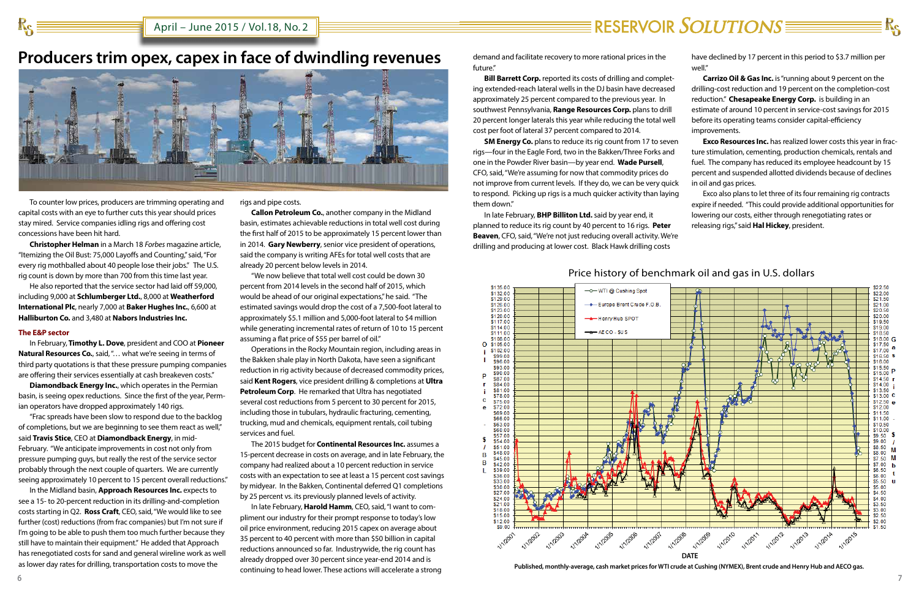# **Producers trim opex, capex in face of dwindling revenues**



To counter low prices, producers are trimming operating and capital costs with an eye to further cuts this year should prices stay mired. Service companies idling rigs and offering cost concessions have been hit hard.

**Christopher Helman** in a March 18 *Forbes* magazine article, "Itemizing the Oil Bust: 75,000 Layoffs and Counting," said, "For every rig mothballed about 40 people lose their jobs." The U.S. rig count is down by more than 700 from this time last year.

He also reported that the service sector had laid off 59,000, including 9,000 at **Schlumberger Ltd.**, 8,000 at **Weatherford International Plc**, nearly 7,000 at **Baker Hughes Inc.**, 6,600 at **Halliburton Co.** and 3,480 at **Nabors Industries Inc.**

#### **The E&P sector**

In February, **Timothy L. Dove**, president and COO at **Pioneer Natural Resources Co., said, "... what we're seeing in terms of** third party quotations is that these pressure pumping companies are offering their services essentially at cash breakeven costs."

**Diamondback Energy Inc.**, which operates in the Permian basin, is seeing opex reductions. Since the first of the year, Permian operators have dropped approximately 140 rigs.

"Frac spreads have been slow to respond due to the backlog of completions, but we are beginning to see them react as well," said **Travis Stice**, CEO at **Diamondback Energy**, in mid-February. "We anticipate improvements in cost not only from pressure pumping guys, but really the rest of the service sector probably through the next couple of quarters. We are currently seeing approximately 10 percent to 15 percent overall reductions."

In the Midland basin, **Approach Resources Inc.** expects to see a 15- to 20-percent reduction in its drilling-and-completion costs starting in Q2. **Ross Craft**, CEO, said, "We would like to see further (cost) reductions (from frac companies) but I'm not sure if I'm going to be able to push them too much further because they still have to maintain their equipment." He added that Approach has renegotiated costs for sand and general wireline work as well as lower day rates for drilling, transportation costs to move the

rigs and pipe costs.

**Callon Petroleum Co.**, another company in the Midland basin, estimates achievable reductions in total well cost during the first half of 2015 to be approximately 15 percent lower than in 2014. **Gary Newberry**, senior vice president of operations, said the company is writing AFEs for total well costs that are already 20 percent below levels in 2014.

**SM Energy Co.** plans to reduce its rig count from 17 to seven rigs—four in the Eagle Ford, two in the Bakken/Three Forks and one in the Powder River basin—by year end. **Wade Pursell**, CFO, said, "We're assuming for now that commodity prices do not improve from current levels. If they do, we can be very quick to respond. Picking up rigs is a much quicker activity than laying them down."

"We now believe that total well cost could be down 30 percent from 2014 levels in the second half of 2015, which would be ahead of our original expectations," he said. "The estimated savings would drop the cost of a 7,500-foot lateral to approximately \$5.1 million and 5,000-foot lateral to \$4 million while generating incremental rates of return of 10 to 15 percent assuming a flat price of \$55 per barrel of oil."

- **Exco Resources Inc.** has realized lower costs this year in fracture stimulation, cementing, production chemicals, rentals and fuel. The company has reduced its employee headcount by 15 percent and suspended allotted dividends because of declines in oil and gas prices.
- Exco also plans to let three of its four remaining rig contracts expire if needed. "This could provide additional opportunities for lowering our costs, either through renegotiating rates or releasing rigs," said **Hal Hickey**, president.

Operations in the Rocky Mountain region, including areas in the Bakken shale play in North Dakota, have seen a significant reduction in rig activity because of decreased commodity prices, said **Kent Rogers**, vice president drilling & completions at **Ultra Petroleum Corp**. He remarked that Ultra has negotiated several cost reductions from 5 percent to 30 percent for 2015, including those in tubulars, hydraulic fracturing, cementing, trucking, mud and chemicals, equipment rentals, coil tubing services and fuel.

The 2015 budget for **Continental Resources Inc.** assumes a 15-percent decrease in costs on average, and in late February, the company had realized about a 10 percent reduction in service costs with an expectation to see at least a 15 percent cost savings by midyear. In the Bakken, Continental deferred Q1 completions by 25 percent vs. its previously planned levels of activity.

In late February, **Harold Hamm**, CEO, said, "I want to compliment our industry for their prompt response to today's low oil price environment, reducing 2015 capex on average about 35 percent to 40 percent with more than \$50 billion in capital reductions announced so far. Industrywide, the rig count has already dropped over 30 percent since year-end 2014 and is continuing to head lower. These actions will accelerate a strong

demand and facilitate recovery to more rational prices in the future."

**Bill Barrett Corp.** reported its costs of drilling and completing extended-reach lateral wells in the DJ basin have decreased approximately 25 percent compared to the previous year. In southwest Pennsylvania, **Range Resources Corp.** plans to drill 20 percent longer laterals this year while reducing the total well cost per foot of lateral 37 percent compared to 2014.

In late February, **BHP Billiton Ltd.** said by year end, it planned to reduce its rig count by 40 percent to 16 rigs. **Peter Beaven**, CFO, said, "We're not just reducing overall activity. We're drilling and producing at lower cost. Black Hawk drilling costs

## Price history of benchmark oil and gas in U.S. dollars

# $\equiv$  RESERVOIR  $SOLUTIONS \equiv \equiv$

**Published, monthly-average, cash market prices for WTI crude at Cushing (NYMEX), Brent crude and Henry Hub and AECO gas.**



have declined by 17 percent in this period to \$3.7 million per well."

**Carrizo Oil & Gas Inc.** is "running about 9 percent on the drilling-cost reduction and 19 percent on the completion-cost reduction." **Chesapeake Energy Corp.** is building in an estimate of around 10 percent in service-cost savings for 2015 before its operating teams consider capital-efficiency improvements.